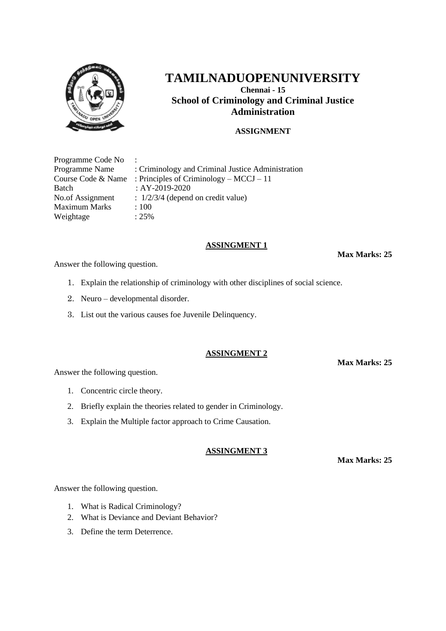

**Chennai - 15 School of Criminology and Criminal Justice Administration**

## **ASSIGNMENT**

| Programme Code No    | $\sim$ 100 $\sim$                                 |
|----------------------|---------------------------------------------------|
| Programme Name       | : Criminology and Criminal Justice Administration |
| Course Code & Name   | : Principles of Criminology – $MCCJ - 11$         |
| Batch                | : AY-2019-2020                                    |
| No.of Assignment     | $\therefore$ 1/2/3/4 (depend on credit value)     |
| <b>Maximum Marks</b> | :100                                              |
| Weightage            | $: 25\%$                                          |

#### **ASSINGMENT 1**

**Max Marks: 25**

Answer the following question.

- 1. Explain the relationship of criminology with other disciplines of social science.
- 2. Neuro developmental disorder.
- 3. List out the various causes foe Juvenile Delinquency.

#### **ASSINGMENT 2**

**Max Marks: 25**

Answer the following question.

- 1. Concentric circle theory.
- 2. Briefly explain the theories related to gender in Criminology.
- 3. Explain the Multiple factor approach to Crime Causation.

#### **ASSINGMENT 3**

**Max Marks: 25**

Answer the following question.

- 1. What is Radical Criminology?
- 2. What is Deviance and Deviant Behavior?
- 3. Define the term Deterrence.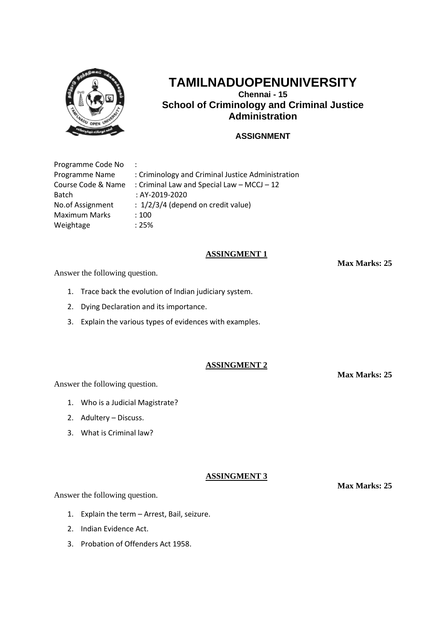

**Chennai - 15 School of Criminology and Criminal Justice Administration**

## **ASSIGNMENT**

| Programme Code No    | $\ddot{\phantom{a}}$                              |
|----------------------|---------------------------------------------------|
| Programme Name       | : Criminology and Criminal Justice Administration |
| Course Code & Name   | : Criminal Law and Special Law - MCCJ - 12        |
| <b>Batch</b>         | : AY-2019-2020                                    |
| No.of Assignment     | $: 1/2/3/4$ (depend on credit value)              |
| <b>Maximum Marks</b> | :100                                              |
| Weightage            | :25%                                              |

## **ASSINGMENT 1**

Answer the following question.

- 1. Trace back the evolution of Indian judiciary system.
- 2. Dying Declaration and its importance.
- 3. Explain the various types of evidences with examples.

## **ASSINGMENT 2**

Answer the following question.

- 1. Who is a Judicial Magistrate?
- 2. Adultery Discuss.
- 3. What is Criminal law?

## **ASSINGMENT 3**

Answer the following question.

- 1. Explain the term Arrest, Bail, seizure.
- 2. Indian Evidence Act.
- 3. Probation of Offenders Act 1958.

**Max Marks: 25**

**Max Marks: 25**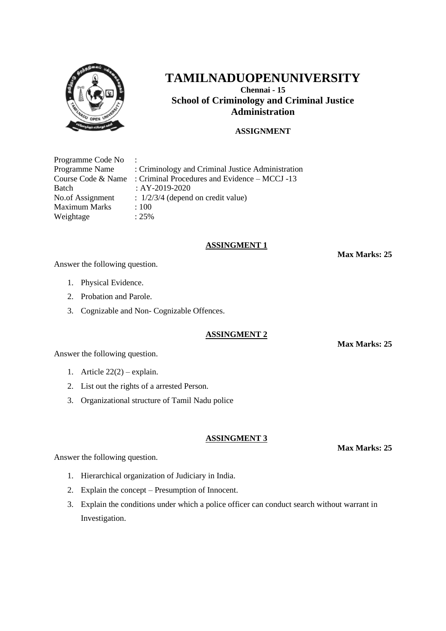

**Chennai - 15 School of Criminology and Criminal Justice Administration**

## **ASSIGNMENT**

| Programme Code No    | $\ddot{\phantom{0}}$                              |
|----------------------|---------------------------------------------------|
| Programme Name       | : Criminology and Criminal Justice Administration |
| Course Code & Name   | : Criminal Procedures and Evidence – MCCJ -13     |
| Batch                | : AY-2019-2020                                    |
| No.of Assignment     | $\therefore$ 1/2/3/4 (depend on credit value)     |
| <b>Maximum Marks</b> | :100                                              |
| Weightage            | $: 25\%$                                          |

#### **ASSINGMENT 1**

**Max Marks: 25**

Answer the following question.

- 1. Physical Evidence.
- 2. Probation and Parole.
- 3. Cognizable and Non- Cognizable Offences.

#### **ASSINGMENT 2**

Answer the following question.

- 1. Article 22(2) explain.
- 2. List out the rights of a arrested Person.
- 3. Organizational structure of Tamil Nadu police

#### **ASSINGMENT 3**

Answer the following question.

- 1. Hierarchical organization of Judiciary in India.
- 2. Explain the concept Presumption of Innocent.
- 3. Explain the conditions under which a police officer can conduct search without warrant in Investigation.

**Max Marks: 25**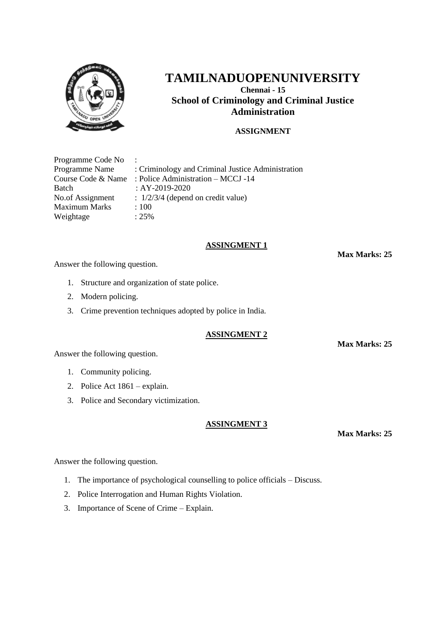

**Chennai - 15 School of Criminology and Criminal Justice Administration**

## **ASSIGNMENT**

| Programme Code No    | $\sim$ 100 $\sim$                                 |
|----------------------|---------------------------------------------------|
| Programme Name       | : Criminology and Criminal Justice Administration |
| Course Code & Name   | : Police Administration – MCCJ -14                |
| Batch                | : AY-2019-2020                                    |
| No.of Assignment     | $\therefore$ 1/2/3/4 (depend on credit value)     |
| <b>Maximum Marks</b> | :100                                              |
| Weightage            | $: 25\%$                                          |

#### **ASSINGMENT 1**

Answer the following question.

- 1. Structure and organization of state police.
- 2. Modern policing.
- 3. Crime prevention techniques adopted by police in India.

## **ASSINGMENT 2**

Answer the following question.

- 1. Community policing.
- 2. Police Act 1861 explain.
- 3. Police and Secondary victimization.

#### **ASSINGMENT 3**

**Max Marks: 25**

Answer the following question.

- 1. The importance of psychological counselling to police officials Discuss.
- 2. Police Interrogation and Human Rights Violation.
- 3. Importance of Scene of Crime Explain.

**Max Marks: 25**